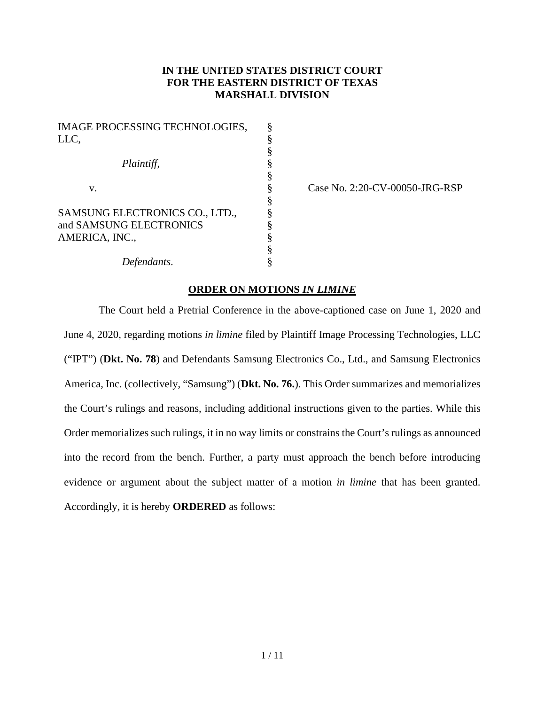## **IN THE UNITED STATES DISTRICT COURT FOR THE EASTERN DISTRICT OF TEXAS MARSHALL DIVISION**

| <b>IMAGE PROCESSING TECHNOLOGIES,</b> | § |
|---------------------------------------|---|
| LLC,                                  | § |
|                                       | § |
| Plaintiff,                            | § |
|                                       | § |
| V.                                    | § |
|                                       | § |
| SAMSUNG ELECTRONICS CO., LTD.,        | § |
| and SAMSUNG ELECTRONICS               | § |
| AMERICA, INC.,                        | § |
|                                       | § |
| Defendants.                           | § |

Case No. 2:20-CV-00050-JRG-RSP

## **ORDER ON MOTIONS** *IN LIMINE*

The Court held a Pretrial Conference in the above-captioned case on June 1, 2020 and June 4, 2020, regarding motions *in limine* filed by Plaintiff Image Processing Technologies, LLC ("IPT") (**Dkt. No. 78**) and Defendants Samsung Electronics Co., Ltd., and Samsung Electronics America, Inc. (collectively, "Samsung") (**Dkt. No. 76.**). This Order summarizes and memorializes the Court's rulings and reasons, including additional instructions given to the parties. While this Order memorializes such rulings, it in no way limits or constrains the Court's rulings as announced into the record from the bench. Further, a party must approach the bench before introducing evidence or argument about the subject matter of a motion *in limine* that has been granted. Accordingly, it is hereby **ORDERED** as follows: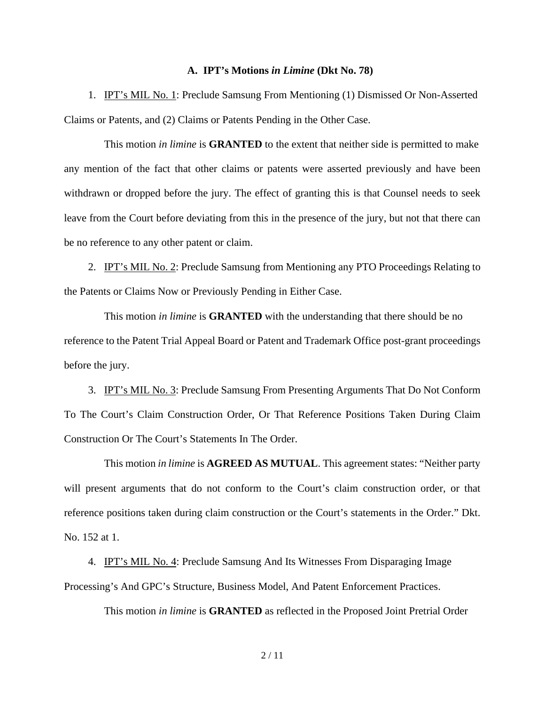## **A. IPT's Motions** *in Limine* **(Dkt No. 78)**

1. IPT's MIL No. 1: Preclude Samsung From Mentioning (1) Dismissed Or Non-Asserted Claims or Patents, and (2) Claims or Patents Pending in the Other Case.

This motion *in limine* is **GRANTED** to the extent that neither side is permitted to make any mention of the fact that other claims or patents were asserted previously and have been withdrawn or dropped before the jury. The effect of granting this is that Counsel needs to seek leave from the Court before deviating from this in the presence of the jury, but not that there can be no reference to any other patent or claim.

2. IPT's MIL No. 2: Preclude Samsung from Mentioning any PTO Proceedings Relating to the Patents or Claims Now or Previously Pending in Either Case.

This motion *in limine* is **GRANTED** with the understanding that there should be no reference to the Patent Trial Appeal Board or Patent and Trademark Office post-grant proceedings before the jury.

3. IPT's MIL No. 3: Preclude Samsung From Presenting Arguments That Do Not Conform To The Court's Claim Construction Order, Or That Reference Positions Taken During Claim Construction Or The Court's Statements In The Order.

This motion *in limine* is **AGREED AS MUTUAL**. This agreement states: "Neither party will present arguments that do not conform to the Court's claim construction order, or that reference positions taken during claim construction or the Court's statements in the Order." Dkt. No. 152 at 1.

4. IPT's MIL No. 4: Preclude Samsung And Its Witnesses From Disparaging Image Processing's And GPC's Structure, Business Model, And Patent Enforcement Practices.

This motion *in limine* is **GRANTED** as reflected in the Proposed Joint Pretrial Order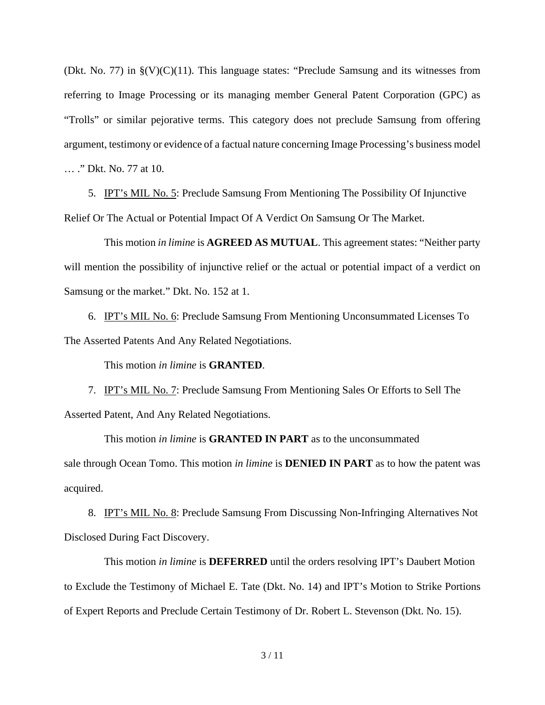(Dkt. No. 77) in  $\S(V)(C)(11)$ . This language states: "Preclude Samsung and its witnesses from referring to Image Processing or its managing member General Patent Corporation (GPC) as "Trolls" or similar pejorative terms. This category does not preclude Samsung from offering argument, testimony or evidence of a factual nature concerning Image Processing's business model … ." Dkt. No. 77 at 10.

5. IPT's MIL No. 5: Preclude Samsung From Mentioning The Possibility Of Injunctive Relief Or The Actual or Potential Impact Of A Verdict On Samsung Or The Market.

This motion *in limine* is **AGREED AS MUTUAL**. This agreement states: "Neither party will mention the possibility of injunctive relief or the actual or potential impact of a verdict on Samsung or the market." Dkt. No. 152 at 1.

6. IPT's MIL No. 6: Preclude Samsung From Mentioning Unconsummated Licenses To The Asserted Patents And Any Related Negotiations.

This motion *in limine* is **GRANTED**.

7. IPT's MIL No. 7: Preclude Samsung From Mentioning Sales Or Efforts to Sell The Asserted Patent, And Any Related Negotiations.

This motion *in limine* is **GRANTED IN PART** as to the unconsummated sale through Ocean Tomo. This motion *in limine* is **DENIED IN PART** as to how the patent was acquired.

8. IPT's MIL No. 8: Preclude Samsung From Discussing Non-Infringing Alternatives Not Disclosed During Fact Discovery.

This motion *in limine* is **DEFERRED** until the orders resolving IPT's Daubert Motion to Exclude the Testimony of Michael E. Tate (Dkt. No. 14) and IPT's Motion to Strike Portions of Expert Reports and Preclude Certain Testimony of Dr. Robert L. Stevenson (Dkt. No. 15).

3 / 11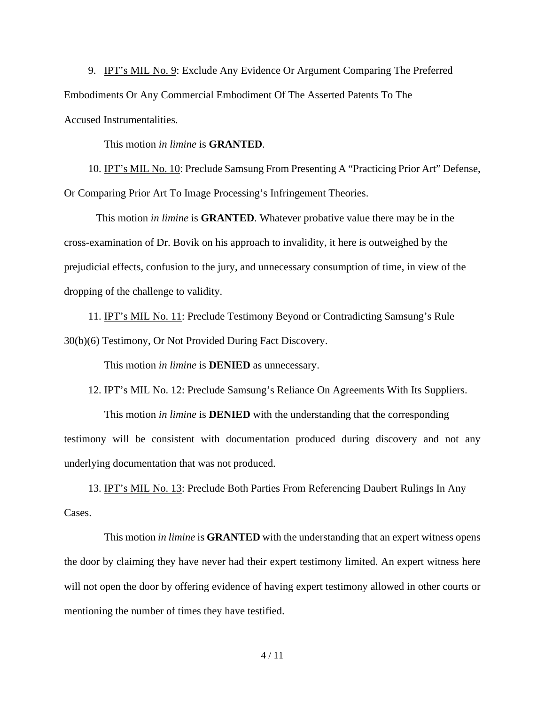9. IPT's MIL No. 9: Exclude Any Evidence Or Argument Comparing The Preferred Embodiments Or Any Commercial Embodiment Of The Asserted Patents To The Accused Instrumentalities.

This motion *in limine* is **GRANTED**.

10. IPT's MIL No. 10: Preclude Samsung From Presenting A "Practicing Prior Art" Defense, Or Comparing Prior Art To Image Processing's Infringement Theories.

This motion *in limine* is **GRANTED**. Whatever probative value there may be in the cross-examination of Dr. Bovik on his approach to invalidity, it here is outweighed by the prejudicial effects, confusion to the jury, and unnecessary consumption of time, in view of the dropping of the challenge to validity.

11. IPT's MIL No. 11: Preclude Testimony Beyond or Contradicting Samsung's Rule 30(b)(6) Testimony, Or Not Provided During Fact Discovery.

This motion *in limine* is **DENIED** as unnecessary.

12. IPT's MIL No. 12: Preclude Samsung's Reliance On Agreements With Its Suppliers.

This motion *in limine* is **DENIED** with the understanding that the corresponding testimony will be consistent with documentation produced during discovery and not any underlying documentation that was not produced.

13. IPT's MIL No. 13: Preclude Both Parties From Referencing Daubert Rulings In Any Cases.

This motion *in limine* is **GRANTED** with the understanding that an expert witness opens the door by claiming they have never had their expert testimony limited. An expert witness here will not open the door by offering evidence of having expert testimony allowed in other courts or mentioning the number of times they have testified.

4 / 11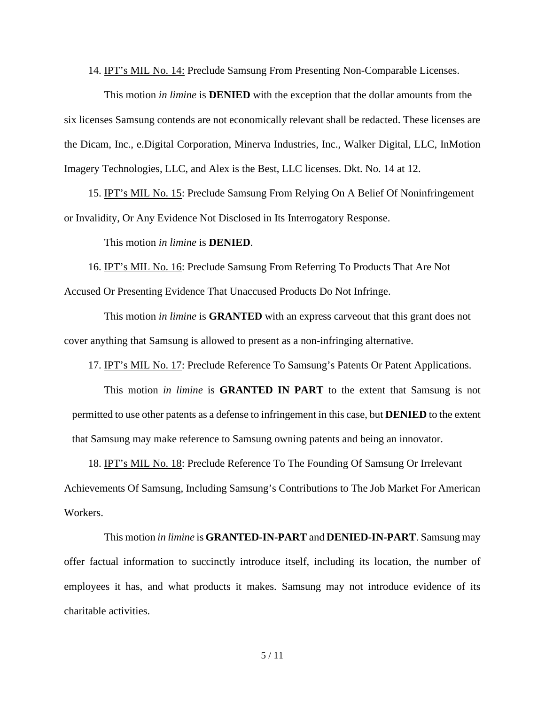14. IPT's MIL No. 14: Preclude Samsung From Presenting Non-Comparable Licenses.

This motion *in limine* is **DENIED** with the exception that the dollar amounts from the six licenses Samsung contends are not economically relevant shall be redacted. These licenses are the Dicam, Inc., e.Digital Corporation, Minerva Industries, Inc., Walker Digital, LLC, InMotion Imagery Technologies, LLC, and Alex is the Best, LLC licenses. Dkt. No. 14 at 12.

15. IPT's MIL No. 15: Preclude Samsung From Relying On A Belief Of Noninfringement or Invalidity, Or Any Evidence Not Disclosed in Its Interrogatory Response.

This motion *in limine* is **DENIED**.

16. IPT's MIL No. 16: Preclude Samsung From Referring To Products That Are Not Accused Or Presenting Evidence That Unaccused Products Do Not Infringe.

This motion *in limine* is **GRANTED** with an express carveout that this grant does not cover anything that Samsung is allowed to present as a non-infringing alternative.

17. IPT's MIL No. 17: Preclude Reference To Samsung's Patents Or Patent Applications.

This motion *in limine* is **GRANTED IN PART** to the extent that Samsung is not permitted to use other patents as a defense to infringement in this case, but **DENIED** to the extent that Samsung may make reference to Samsung owning patents and being an innovator.

18. IPT's MIL No. 18: Preclude Reference To The Founding Of Samsung Or Irrelevant Achievements Of Samsung, Including Samsung's Contributions to The Job Market For American Workers.

This motion *in limine* is **GRANTED-IN-PART** and **DENIED-IN-PART**. Samsung may offer factual information to succinctly introduce itself, including its location, the number of employees it has, and what products it makes. Samsung may not introduce evidence of its charitable activities.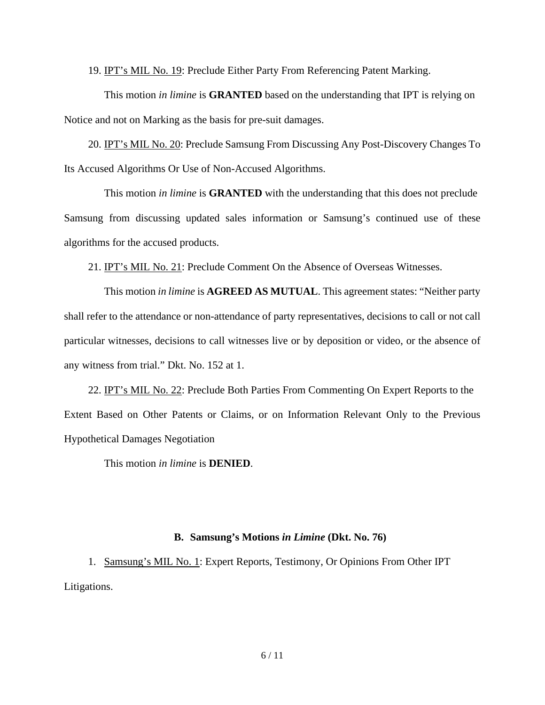19. IPT's MIL No. 19: Preclude Either Party From Referencing Patent Marking.

This motion *in limine* is **GRANTED** based on the understanding that IPT is relying on Notice and not on Marking as the basis for pre-suit damages.

20. IPT's MIL No. 20: Preclude Samsung From Discussing Any Post-Discovery Changes To Its Accused Algorithms Or Use of Non-Accused Algorithms.

This motion *in limine* is **GRANTED** with the understanding that this does not preclude Samsung from discussing updated sales information or Samsung's continued use of these algorithms for the accused products.

21. IPT's MIL No. 21: Preclude Comment On the Absence of Overseas Witnesses.

This motion *in limine* is **AGREED AS MUTUAL**. This agreement states: "Neither party shall refer to the attendance or non-attendance of party representatives, decisions to call or not call particular witnesses, decisions to call witnesses live or by deposition or video, or the absence of any witness from trial." Dkt. No. 152 at 1.

22. IPT's MIL No. 22: Preclude Both Parties From Commenting On Expert Reports to the Extent Based on Other Patents or Claims, or on Information Relevant Only to the Previous Hypothetical Damages Negotiation

This motion *in limine* is **DENIED**.

## **B. Samsung's Motions** *in Limine* **(Dkt. No. 76)**

1. Samsung's MIL No. 1: Expert Reports, Testimony, Or Opinions From Other IPT Litigations.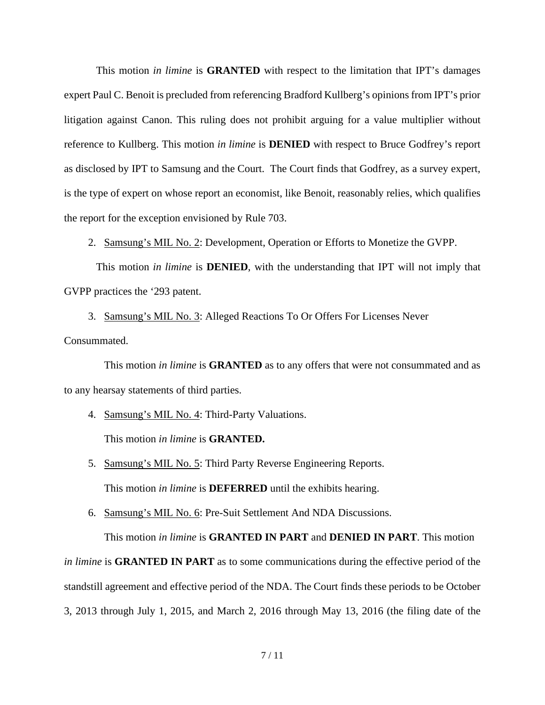This motion *in limine* is **GRANTED** with respect to the limitation that IPT's damages expert Paul C. Benoit is precluded from referencing Bradford Kullberg's opinions from IPT's prior litigation against Canon. This ruling does not prohibit arguing for a value multiplier without reference to Kullberg. This motion *in limine* is **DENIED** with respect to Bruce Godfrey's report as disclosed by IPT to Samsung and the Court. The Court finds that Godfrey, as a survey expert, is the type of expert on whose report an economist, like Benoit, reasonably relies, which qualifies the report for the exception envisioned by Rule 703.

2. Samsung's MIL No. 2: Development, Operation or Efforts to Monetize the GVPP.

This motion *in limine* is **DENIED**, with the understanding that IPT will not imply that GVPP practices the '293 patent.

3. Samsung's MIL No. 3: Alleged Reactions To Or Offers For Licenses Never

Consummated.

This motion *in limine* is **GRANTED** as to any offers that were not consummated and as to any hearsay statements of third parties.

4. Samsung's MIL No. 4: Third-Party Valuations.

This motion *in limine* is **GRANTED.**

- 5. Samsung's MIL No. 5: Third Party Reverse Engineering Reports. This motion *in limine* is **DEFERRED** until the exhibits hearing.
- 6. Samsung's MIL No. 6: Pre-Suit Settlement And NDA Discussions.

This motion *in limine* is **GRANTED IN PART** and **DENIED IN PART**. This motion *in limine* is **GRANTED IN PART** as to some communications during the effective period of the standstill agreement and effective period of the NDA. The Court finds these periods to be October

3, 2013 through July 1, 2015, and March 2, 2016 through May 13, 2016 (the filing date of the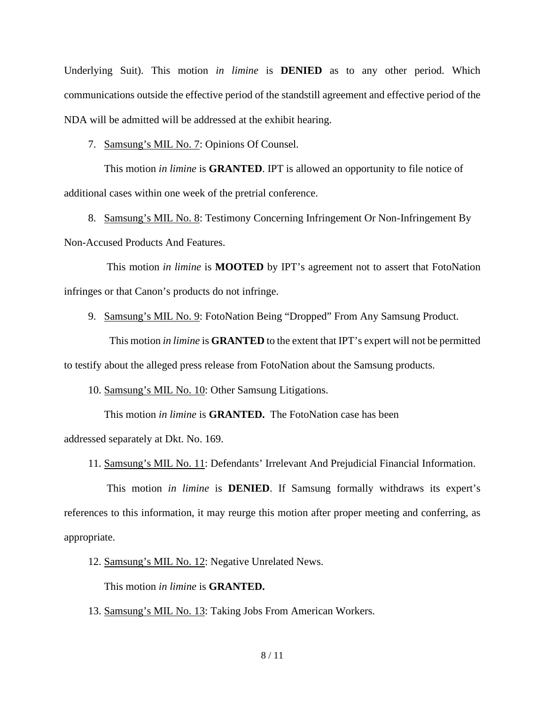Underlying Suit). This motion *in limine* is **DENIED** as to any other period. Which communications outside the effective period of the standstill agreement and effective period of the NDA will be admitted will be addressed at the exhibit hearing.

7. Samsung's MIL No. 7: Opinions Of Counsel.

This motion *in limine* is **GRANTED**. IPT is allowed an opportunity to file notice of additional cases within one week of the pretrial conference.

8. Samsung's MIL No. 8: Testimony Concerning Infringement Or Non-Infringement By Non-Accused Products And Features.

 This motion *in limine* is **MOOTED** by IPT's agreement not to assert that FotoNation infringes or that Canon's products do not infringe.

9. Samsung's MIL No. 9: FotoNation Being "Dropped" From Any Samsung Product.

 This motion *in limine* is **GRANTED** to the extent that IPT's expert will not be permitted to testify about the alleged press release from FotoNation about the Samsung products.

10. Samsung's MIL No. 10: Other Samsung Litigations.

This motion *in limine* is **GRANTED.** The FotoNation case has been

addressed separately at Dkt. No. 169.

11. Samsung's MIL No. 11: Defendants' Irrelevant And Prejudicial Financial Information.

 This motion *in limine* is **DENIED**. If Samsung formally withdraws its expert's references to this information, it may reurge this motion after proper meeting and conferring, as appropriate.

12. Samsung's MIL No. 12: Negative Unrelated News.

This motion *in limine* is **GRANTED.**

13. Samsung's MIL No. 13: Taking Jobs From American Workers.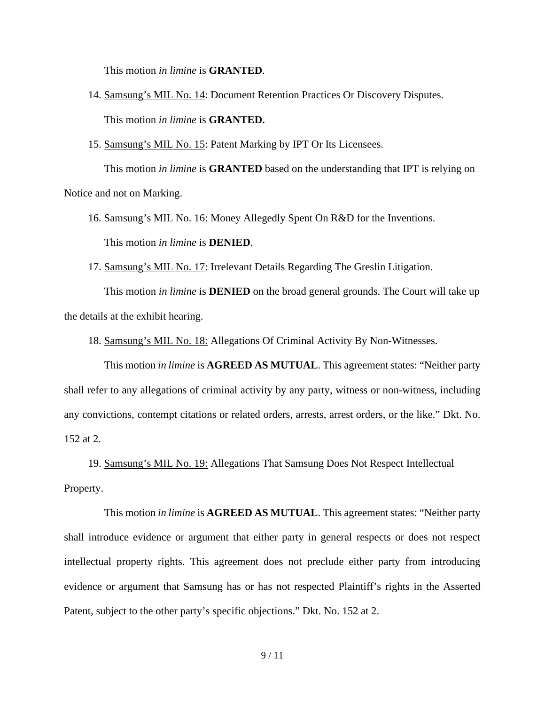This motion *in limine* is **GRANTED**.

- 14. Samsung's MIL No. 14: Document Retention Practices Or Discovery Disputes. This motion *in limine* is **GRANTED.**
- 15. Samsung's MIL No. 15: Patent Marking by IPT Or Its Licensees.

This motion *in limine* is **GRANTED** based on the understanding that IPT is relying on Notice and not on Marking.

- 16. Samsung's MIL No. 16: Money Allegedly Spent On R&D for the Inventions. This motion *in limine* is **DENIED**.
- 17. Samsung's MIL No. 17: Irrelevant Details Regarding The Greslin Litigation.

This motion *in limine* is **DENIED** on the broad general grounds. The Court will take up the details at the exhibit hearing.

18. Samsung's MIL No. 18: Allegations Of Criminal Activity By Non-Witnesses.

This motion *in limine* is **AGREED AS MUTUAL**. This agreement states: "Neither party shall refer to any allegations of criminal activity by any party, witness or non-witness, including any convictions, contempt citations or related orders, arrests, arrest orders, or the like." Dkt. No. 152 at 2.

19. Samsung's MIL No. 19: Allegations That Samsung Does Not Respect Intellectual Property.

This motion *in limine* is **AGREED AS MUTUAL**. This agreement states: "Neither party shall introduce evidence or argument that either party in general respects or does not respect intellectual property rights. This agreement does not preclude either party from introducing evidence or argument that Samsung has or has not respected Plaintiff's rights in the Asserted Patent, subject to the other party's specific objections." Dkt. No. 152 at 2.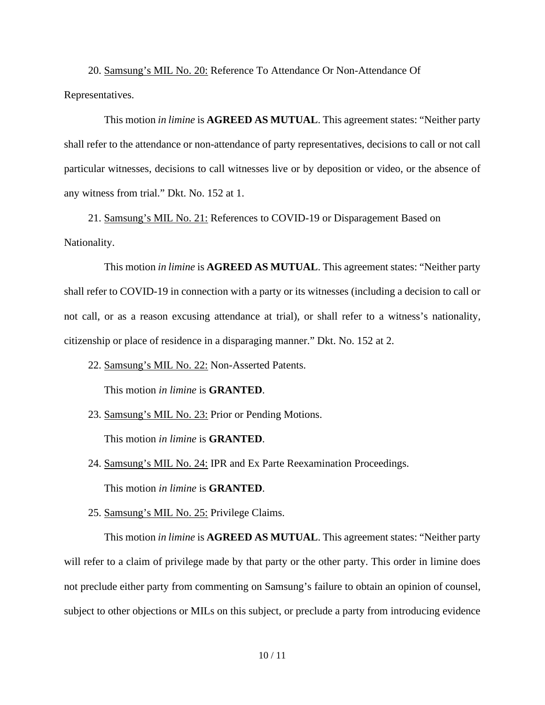20. Samsung's MIL No. 20: Reference To Attendance Or Non-Attendance Of Representatives.

This motion *in limine* is **AGREED AS MUTUAL**. This agreement states: "Neither party shall refer to the attendance or non-attendance of party representatives, decisions to call or not call particular witnesses, decisions to call witnesses live or by deposition or video, or the absence of any witness from trial." Dkt. No. 152 at 1.

21. Samsung's MIL No. 21: References to COVID-19 or Disparagement Based on Nationality.

This motion *in limine* is **AGREED AS MUTUAL**. This agreement states: "Neither party shall refer to COVID-19 in connection with a party or its witnesses (including a decision to call or not call, or as a reason excusing attendance at trial), or shall refer to a witness's nationality, citizenship or place of residence in a disparaging manner." Dkt. No. 152 at 2.

22. Samsung's MIL No. 22: Non-Asserted Patents.

This motion *in limine* is **GRANTED**.

23. Samsung's MIL No. 23: Prior or Pending Motions.

This motion *in limine* is **GRANTED**.

24. Samsung's MIL No. 24: IPR and Ex Parte Reexamination Proceedings.

This motion *in limine* is **GRANTED**.

25. Samsung's MIL No. 25: Privilege Claims.

This motion *in limine* is **AGREED AS MUTUAL**. This agreement states: "Neither party will refer to a claim of privilege made by that party or the other party. This order in limine does not preclude either party from commenting on Samsung's failure to obtain an opinion of counsel, subject to other objections or MILs on this subject, or preclude a party from introducing evidence